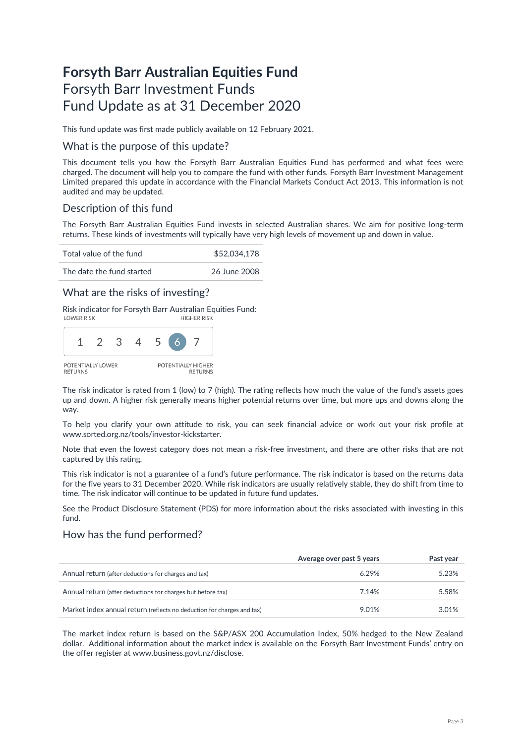# **Forsyth Barr Australian Equities Fund** Forsyth Barr Investment Funds Fund Update as at 31 December 2020

This fund update was first made publicly available on 12 February 2021.

### What is the purpose of this update?

This document tells you how the Forsyth Barr Australian Equities Fund has performed and what fees were charged. The document will help you to compare the fund with other funds. Forsyth Barr Investment Management Limited prepared this update in accordance with the Financial Markets Conduct Act 2013. This information is not audited and may be updated.

## Description of this fund

The Forsyth Barr Australian Equities Fund invests in selected Australian shares. We aim for positive long-term returns. These kinds of investments will typically have very high levels of movement up and down in value.

Total value of the fund  $$52,034,178$ 

The date the fund started 26 June 2008

### What are the risks of investing?

Risk indicator for Forsyth Barr Australian Equities Fund:<br>HIGHER RISK



The risk indicator is rated from 1 (low) to 7 (high). The rating reflects how much the value of the fund's assets goes up and down. A higher risk generally means higher potential returns over time, but more ups and downs along the way.

To help you clarify your own attitude to risk, you can seek financial advice or work out your risk profile at [www.sorted.org.nz/tools/investor-kickstarter.](http://www.sorted.org.nz/tools/investor-kickstarter) 

Note that even the lowest category does not mean a risk-free investment, and there are other risks that are not captured by this rating.

This risk indicator is not a guarantee of a fund's future performance. The risk indicator is based on the returns data for the five years to 31 December 2020. While risk indicators are usually relatively stable, they do shift from time to time. The risk indicator will continue to be updated in future fund updates.

See the Product Disclosure Statement (PDS) for more information about the risks associated with investing in this fund.

### How has the fund performed?

|                                                                        | Average over past 5 years | Past vear |
|------------------------------------------------------------------------|---------------------------|-----------|
| Annual return (after deductions for charges and tax)                   | 6.29%                     | 5.23%     |
| Annual return (after deductions for charges but before tax)            | 7.14%                     | 5.58%     |
| Market index annual return (reflects no deduction for charges and tax) | 9.01%                     | 3.01%     |

The market index return is based on the S&P/ASX 200 Accumulation Index, 50% hedged to the New Zealand dollar. Additional information about the market index is available on the Forsyth Barr Investment Funds' entry on the offer register at [www.business.govt.nz/disclose.](http://www.business.govt.nz/disclose)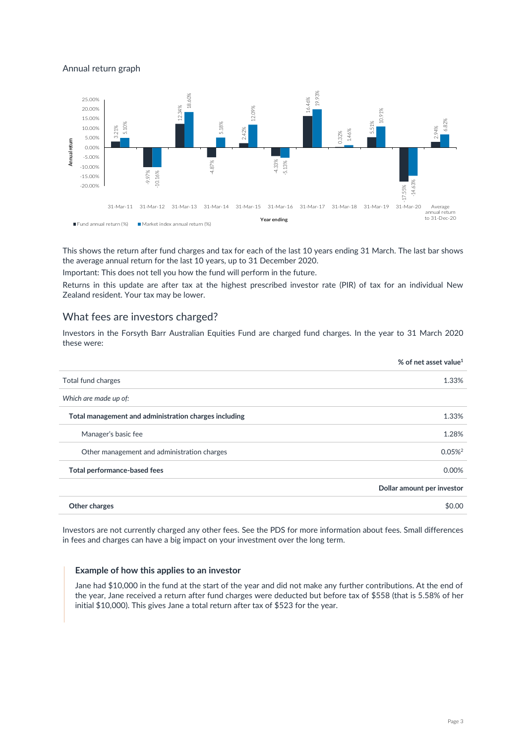### Annual return graph



This shows the return after fund charges and tax for each of the last 10 years ending 31 March. The last bar shows the average annual return for the last 10 years, up to 31 December 2020.

Important: This does not tell you how the fund will perform in the future.

Returns in this update are after tax at the highest prescribed investor rate (PIR) of tax for an individual New Zealand resident. Your tax may be lower.

#### What fees are investors charged?

Investors in the Forsyth Barr Australian Equities Fund are charged fund charges. In the year to 31 March 2020 these were:

|                                                       | % of net asset value <sup>1</sup> |
|-------------------------------------------------------|-----------------------------------|
| Total fund charges                                    | 1.33%                             |
| Which are made up of:                                 |                                   |
| Total management and administration charges including | 1.33%                             |
| Manager's basic fee                                   | 1.28%                             |
| Other management and administration charges           | $0.05\%$ <sup>2</sup>             |
| Total performance-based fees                          | 0.00%                             |
|                                                       | Dollar amount per investor        |
| Other charges                                         | \$0.00                            |

Investors are not currently charged any other fees. See the PDS for more information about fees. Small differences in fees and charges can have a big impact on your investment over the long term.

#### **Example of how this applies to an investor**

Jane had \$10,000 in the fund at the start of the year and did not make any further contributions. At the end of the year, Jane received a return after fund charges were deducted but before tax of \$558 (that is 5.58% of her initial \$10,000). This gives Jane a total return after tax of \$523 for the year.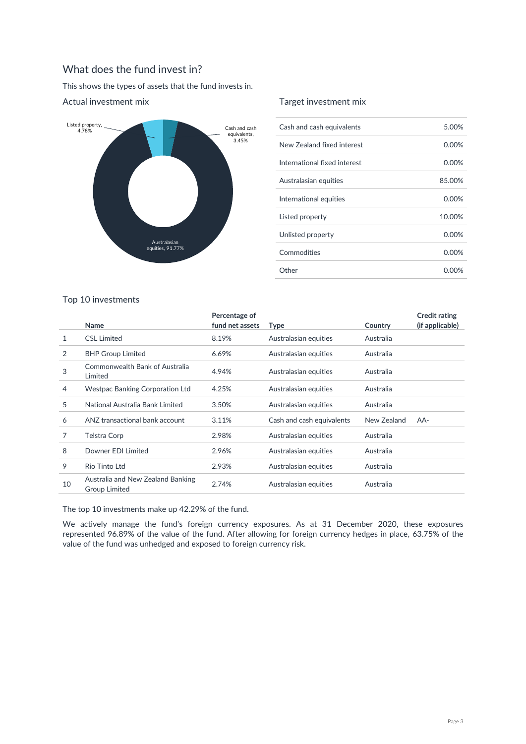# What does the fund invest in?

This shows the types of assets that the fund invests in.



### Actual investment mix

### Target investment mix

| Cash and cash equivalents    | 5.00%  |
|------------------------------|--------|
| New Zealand fixed interest   | 0.00%  |
| International fixed interest | 0.00%  |
| Australasian equities        | 85.00% |
| International equities       | 0.00%  |
| Listed property              | 10.00% |
| Unlisted property            | 0.00%  |
| Commodities                  | 0.00%  |
| Other                        | 0.00%  |

# Top 10 investments

|    | Name                                                      | Percentage of<br>fund net assets | <b>Type</b>               | Country     | <b>Credit rating</b><br>(if applicable) |
|----|-----------------------------------------------------------|----------------------------------|---------------------------|-------------|-----------------------------------------|
| 1  | <b>CSL Limited</b>                                        | 8.19%                            | Australasian equities     | Australia   |                                         |
| 2  | <b>BHP Group Limited</b>                                  | 6.69%                            | Australasian equities     | Australia   |                                         |
| 3  | Commonwealth Bank of Australia<br>Limited                 | 4.94%                            | Australasian equities     | Australia   |                                         |
| 4  | Westpac Banking Corporation Ltd                           | 4.25%                            | Australasian equities     | Australia   |                                         |
| 5  | National Australia Bank Limited                           | 3.50%                            | Australasian equities     | Australia   |                                         |
| 6  | ANZ transactional bank account                            | 3.11%                            | Cash and cash equivalents | New Zealand | AA-                                     |
| 7  | Telstra Corp                                              | 2.98%                            | Australasian equities     | Australia   |                                         |
| 8  | Downer EDI Limited                                        | 2.96%                            | Australasian equities     | Australia   |                                         |
| 9  | Rio Tinto Ltd                                             | 2.93%                            | Australasian equities     | Australia   |                                         |
| 10 | Australia and New Zealand Banking<br><b>Group Limited</b> | 2.74%                            | Australasian equities     | Australia   |                                         |

The top 10 investments make up 42.29% of the fund.

We actively manage the fund's foreign currency exposures. As at 31 December 2020, these exposures represented 96.89% of the value of the fund. After allowing for foreign currency hedges in place, 63.75% of the value of the fund was unhedged and exposed to foreign currency risk.